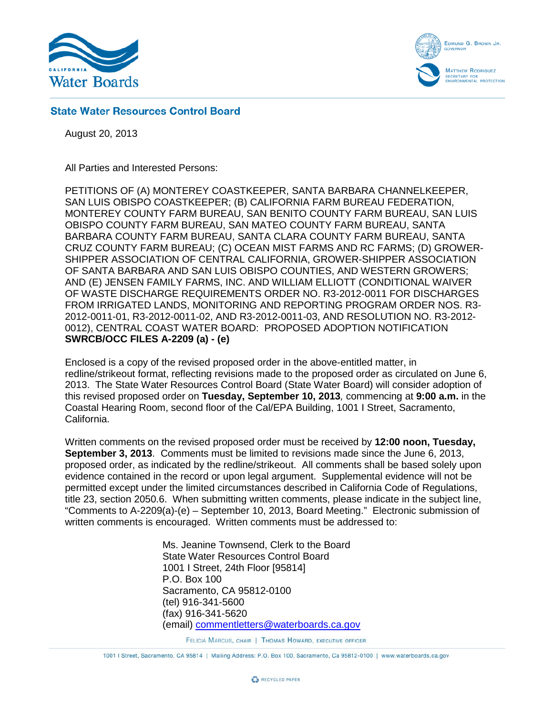



# **State Water Resources Control Board**

August 20, 2013

All Parties and Interested Persons:

PETITIONS OF (A) MONTEREY COASTKEEPER, SANTA BARBARA CHANNELKEEPER, SAN LUIS OBISPO COASTKEEPER; (B) CALIFORNIA FARM BUREAU FEDERATION, MONTEREY COUNTY FARM BUREAU, SAN BENITO COUNTY FARM BUREAU, SAN LUIS OBISPO COUNTY FARM BUREAU, SAN MATEO COUNTY FARM BUREAU, SANTA BARBARA COUNTY FARM BUREAU, SANTA CLARA COUNTY FARM BUREAU, SANTA CRUZ COUNTY FARM BUREAU; (C) OCEAN MIST FARMS AND RC FARMS; (D) GROWER-SHIPPER ASSOCIATION OF CENTRAL CALIFORNIA, GROWER-SHIPPER ASSOCIATION OF SANTA BARBARA AND SAN LUIS OBISPO COUNTIES, AND WESTERN GROWERS; AND (E) JENSEN FAMILY FARMS, INC. AND WILLIAM ELLIOTT (CONDITIONAL WAIVER OF WASTE DISCHARGE REQUIREMENTS ORDER NO. R3-2012-0011 FOR DISCHARGES FROM IRRIGATED LANDS, MONITORING AND REPORTING PROGRAM ORDER NOS. R3- 2012-0011-01, R3-2012-0011-02, AND R3-2012-0011-03, AND RESOLUTION NO. R3-2012- 0012), CENTRAL COAST WATER BOARD: PROPOSED ADOPTION NOTIFICATION **SWRCB/OCC FILES A-2209 (a) - (e)**

Enclosed is a copy of the revised proposed order in the above-entitled matter, in redline/strikeout format, reflecting revisions made to the proposed order as circulated on June 6, 2013. The State Water Resources Control Board (State Water Board) will consider adoption of this revised proposed order on **Tuesday, September 10, 2013***,* commencing at **9:00 a.m.** in the Coastal Hearing Room, second floor of the Cal/EPA Building, 1001 I Street, Sacramento, California.

Written comments on the revised proposed order must be received by **12:00 noon, Tuesday, September 3, 2013**. Comments must be limited to revisions made since the June 6, 2013, proposed order, as indicated by the redline/strikeout. All comments shall be based solely upon evidence contained in the record or upon legal argument. Supplemental evidence will not be permitted except under the limited circumstances described in California Code of Regulations, title 23, section 2050.6. When submitting written comments, please indicate in the subject line, "Comments to A-2209(a)-(e) – September 10, 2013, Board Meeting." Electronic submission of written comments is encouraged. Written comments must be addressed to:

> Ms. Jeanine Townsend, Clerk to the Board State Water Resources Control Board 1001 I Street, 24th Floor [95814] P.O. Box 100 Sacramento, CA 95812-0100 (tel) 916-341-5600 (fax) 916-341-5620 (email) [commentletters@waterboards.ca.gov](mailto:commentletters@waterboards.ca.gov)

> > FELICIA MARCUS, CHAIR | THOMAS HOWARD, EXECUTIVE OFFICER

1001 | Street, Sacramento, CA 95814 | Mailing Address: P.O. Box 100, Sacramento, Ca 95812-0100 | www.waterboards.ca.gov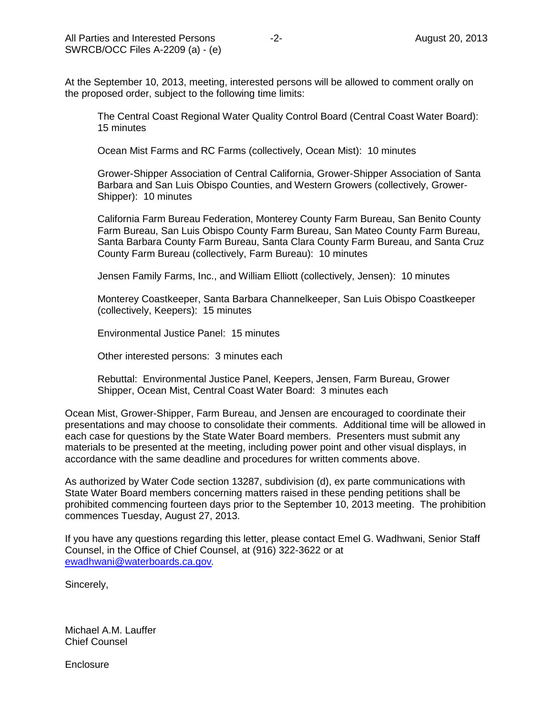At the September 10, 2013, meeting, interested persons will be allowed to comment orally on the proposed order, subject to the following time limits:

The Central Coast Regional Water Quality Control Board (Central Coast Water Board): 15 minutes

Ocean Mist Farms and RC Farms (collectively, Ocean Mist): 10 minutes

Grower-Shipper Association of Central California, Grower-Shipper Association of Santa Barbara and San Luis Obispo Counties, and Western Growers (collectively, Grower-Shipper): 10 minutes

California Farm Bureau Federation, Monterey County Farm Bureau, San Benito County Farm Bureau, San Luis Obispo County Farm Bureau, San Mateo County Farm Bureau, Santa Barbara County Farm Bureau, Santa Clara County Farm Bureau, and Santa Cruz County Farm Bureau (collectively, Farm Bureau): 10 minutes

Jensen Family Farms, Inc., and William Elliott (collectively, Jensen): 10 minutes

Monterey Coastkeeper, Santa Barbara Channelkeeper, San Luis Obispo Coastkeeper (collectively, Keepers): 15 minutes

Environmental Justice Panel: 15 minutes

Other interested persons: 3 minutes each

Rebuttal: Environmental Justice Panel, Keepers, Jensen, Farm Bureau, Grower Shipper, Ocean Mist, Central Coast Water Board: 3 minutes each

Ocean Mist, Grower-Shipper, Farm Bureau, and Jensen are encouraged to coordinate their presentations and may choose to consolidate their comments. Additional time will be allowed in each case for questions by the State Water Board members. Presenters must submit any materials to be presented at the meeting, including power point and other visual displays, in accordance with the same deadline and procedures for written comments above.

As authorized by Water Code section 13287, subdivision (d), ex parte communications with State Water Board members concerning matters raised in these pending petitions shall be prohibited commencing fourteen days prior to the September 10, 2013 meeting. The prohibition commences Tuesday, August 27, 2013.

If you have any questions regarding this letter, please contact Emel G. Wadhwani, Senior Staff Counsel, in the Office of Chief Counsel, at (916) 322-3622 or at [ewadhwani@waterboards.ca.gov](mailto:ewadhwani@waterboards.ca.gov)*.*

Sincerely,

Michael A.M. Lauffer Chief Counsel

**Enclosure**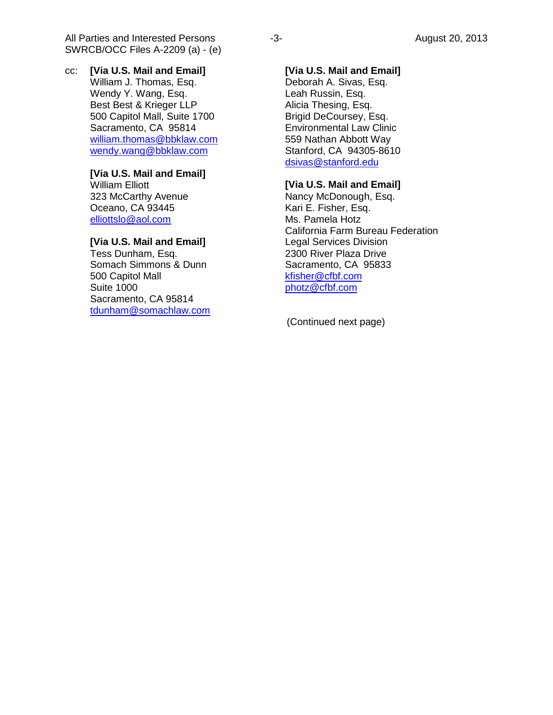All Parties and Interested Persons and the series of the series of the August 20, 2013 SWRCB/OCC Files A-2209 (a) - (e)

cc: **[Via U.S. Mail and Email]** William J. Thomas, Esq. Wendy Y. Wang, Esq. Best Best & Krieger LLP 500 Capitol Mall, Suite 1700 Sacramento, CA 95814 [william.thomas@bbklaw.com](mailto:william.thomas@bbklaw.com) [wendy.wang@bbklaw.com](mailto:wendy.wang@bbklaw.com)

# **[Via U.S. Mail and Email]**

William Elliott 323 McCarthy Avenue Oceano, CA 93445 [elliottslo@aol.com](mailto:elliottslo@aol.com)

## **[Via U.S. Mail and Email]**

Tess Dunham, Esq. Somach Simmons & Dunn 500 Capitol Mall Suite 1000 Sacramento, CA 95814 [tdunham@somachlaw.com](mailto:tdunham@somachlaw.com)

## **[Via U.S. Mail and Email]**

Deborah A. Sivas, Esq. Leah Russin, Esq. Alicia Thesing, Esq. Brigid DeCoursey, Esq. Environmental Law Clinic 559 Nathan Abbott Way Stanford, CA 94305-8610 [dsivas@stanford.edu](mailto:dsivas@stanford.edu)

### **[Via U.S. Mail and Email]**

Nancy McDonough, Esq. Kari E. Fisher, Esq. Ms. Pamela Hotz California Farm Bureau Federation Legal Services Division 2300 River Plaza Drive Sacramento, CA 95833 [kfisher@cfbf.com](mailto:kfisher@cfbf.com) [photz@cfbf.com](mailto:photz@cfbf.com)

(Continued next page)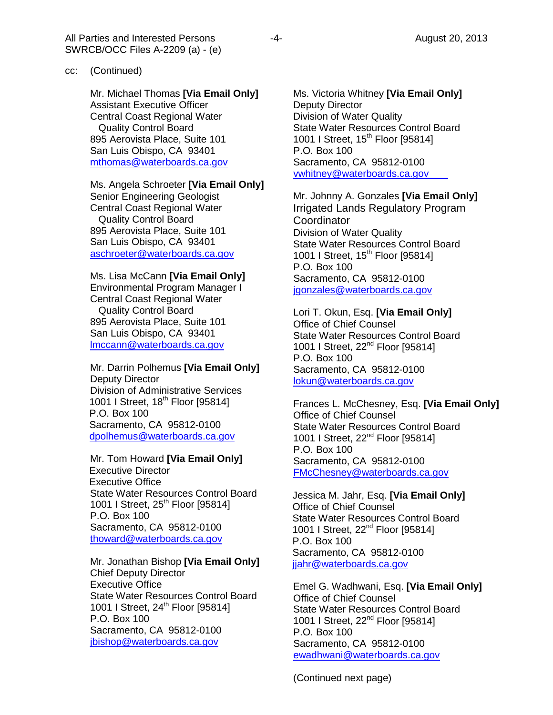Mr. Michael Thomas **[Via Email Only]** Assistant Executive Officer Central Coast Regional Water Quality Control Board 895 Aerovista Place, Suite 101 San Luis Obispo, CA 93401 [mthomas@waterboards.ca.gov](mailto:mthomas@waterboards.ca.gov)

#### Ms. Angela Schroeter **[Via Email Only]**

Senior Engineering Geologist Central Coast Regional Water Quality Control Board 895 Aerovista Place, Suite 101 San Luis Obispo, CA 93401 [aschroeter@waterboards.ca.gov](mailto:aschroeter@waterboards.ca.gov)

Ms. Lisa McCann **[Via Email Only]** Environmental Program Manager I Central Coast Regional Water Quality Control Board 895 Aerovista Place, Suite 101 San Luis Obispo, CA 93401 [lmccann@waterboards.ca.gov](mailto:lmccann@waterboards.ca.gov)

Mr. Darrin Polhemus **[Via Email Only]** Deputy Director Division of Administrative Services 1001 I Street, 18<sup>th</sup> Floor [95814] P.O. Box 100 Sacramento, CA 95812-0100 [dpolhemus@waterboards.ca.gov](mailto:dpolhemus@waterboards.ca.gov)

Mr. Tom Howard **[Via Email Only]** Executive Director Executive Office State Water Resources Control Board 1001 I Street, 25<sup>th</sup> Floor [95814] P.O. Box 100 Sacramento, CA 95812-0100 [thoward@waterboards.ca.gov](mailto:thoward@waterboards.ca.gov)

Mr. Jonathan Bishop **[Via Email Only]** Chief Deputy Director Executive Office State Water Resources Control Board 1001 I Street, 24<sup>th</sup> Floor [95814] P.O. Box 100 Sacramento, CA 95812-0100 [jbishop@waterboards.ca.gov](mailto:jbishop@waterboards.ca.gov)

Ms. Victoria Whitney **[Via Email Only]** Deputy Director Division of Water Quality State Water Resources Control Board 1001 I Street, 15<sup>th</sup> Floor [95814] P.O. Box 100 Sacramento, CA 95812-0100 [vwhitney@waterboards.ca.gov](mailto:vwhitney@waterboards.ca.gov)

Mr. Johnny A. Gonzales **[Via Email Only]** Irrigated Lands Regulatory Program **Coordinator** Division of Water Quality State Water Resources Control Board 1001 I Street, 15<sup>th</sup> Floor [95814] P.O. Box 100 Sacramento, CA 95812-0100 [jgonzales@waterboards.ca.gov](mailto:jgonzales@waterboards.ca.gov)

Lori T. Okun, Esq. **[Via Email Only]** Office of Chief Counsel State Water Resources Control Board 1001 I Street, 22<sup>nd</sup> Floor [95814] P.O. Box 100 Sacramento, CA 95812-0100 [lokun@waterboards.ca.gov](mailto:lokun@waterboards.ca.gov)

Frances L. McChesney, Esq. **[Via Email Only]** Office of Chief Counsel State Water Resources Control Board 1001 I Street, 22<sup>nd</sup> Floor [95814] P.O. Box 100 Sacramento, CA 95812-0100 [FMcChesney@waterboards.ca.gov](mailto:FMcChesney@waterboards.ca.gov)

Jessica M. Jahr, Esq. **[Via Email Only]** Office of Chief Counsel State Water Resources Control Board 1001 I Street, 22<sup>nd</sup> Floor [95814] P.O. Box 100 Sacramento, CA 95812-0100 [jjahr@waterboards.ca.gov](mailto:jjahr@waterboards.ca.gov)

Emel G. Wadhwani, Esq. **[Via Email Only]** Office of Chief Counsel State Water Resources Control Board 1001 I Street, 22<sup>nd</sup> Floor [95814] P.O. Box 100 Sacramento, CA 95812-0100 [ewadhwani@waterboards.ca.gov](mailto:ewadhwani@waterboards.ca.gov)

(Continued next page)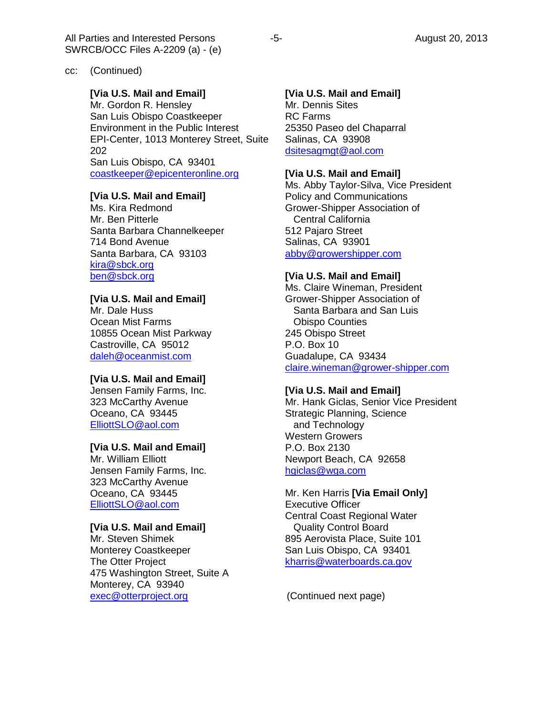#### cc: (Continued)

### **[Via U.S. Mail and Email]**

Mr. Gordon R. Hensley San Luis Obispo Coastkeeper Environment in the Public Interest EPI-Center, 1013 Monterey Street, Suite 202 San Luis Obispo, CA 93401 [coastkeeper@epicenteronline.org](mailto:coastkeeper@epicenteronline.org)

## **[Via U.S. Mail and Email]**

Ms. Kira Redmond Mr. Ben Pitterle Santa Barbara Channelkeeper 714 Bond Avenue Santa Barbara, CA 93103 [kira@sbck.org](mailto:kira@sbck.org) [ben@sbck.org](mailto:ben@sbck.org)

# **[Via U.S. Mail and Email]**

Mr. Dale Huss Ocean Mist Farms 10855 Ocean Mist Parkway Castroville, CA 95012 [daleh@oceanmist.com](mailto:daleh@oceanmist.com)

#### **[Via U.S. Mail and Email]**

Jensen Family Farms, Inc. 323 McCarthy Avenue Oceano, CA 93445 [ElliottSLO@aol.com](mailto:ElliottSLO@aol.com)

### **[Via U.S. Mail and Email]**

Mr. William Elliott Jensen Family Farms, Inc. 323 McCarthy Avenue Oceano, CA 93445 [ElliottSLO@aol.com](mailto:ElliottSLO@aol.com)

# **[Via U.S. Mail and Email]**

Mr. Steven Shimek Monterey Coastkeeper The Otter Project 475 Washington Street, Suite A Monterey, CA 93940 [exec@otterproject.org](mailto:exec@otterproject.org)

# **[Via U.S. Mail and Email]**

Mr. Dennis Sites RC Farms 25350 Paseo del Chaparral Salinas, CA 93908 [dsitesagmgt@aol.com](mailto:dsitesagmgt@aol.com)

# **[Via U.S. Mail and Email]**

Ms. Abby Taylor-Silva, Vice President Policy and Communications Grower-Shipper Association of Central California 512 Pajaro Street Salinas, CA 93901 [abby@growershipper.com](mailto:abby@growershipper.com)

#### **[Via U.S. Mail and Email]**

Ms. Claire Wineman, President Grower-Shipper Association of Santa Barbara and San Luis Obispo Counties 245 Obispo Street P.O. Box 10 Guadalupe, CA 93434 [claire.wineman@grower-shipper.com](mailto:claire.wineman@grower-shipper.com)

#### **[Via U.S. Mail and Email]**

Mr. Hank Giclas, Senior Vice President Strategic Planning, Science and Technology Western Growers P.O. Box 2130 Newport Beach, CA 92658 [hgiclas@wga.com](mailto:hgiclas@wga.com)

Mr. Ken Harris **[Via Email Only]** Executive Officer Central Coast Regional Water Quality Control Board 895 Aerovista Place, Suite 101 San Luis Obispo, CA 93401 [kharris@waterboards.ca.gov](mailto:rbriggs@waterboards.ca.gov)

(Continued next page)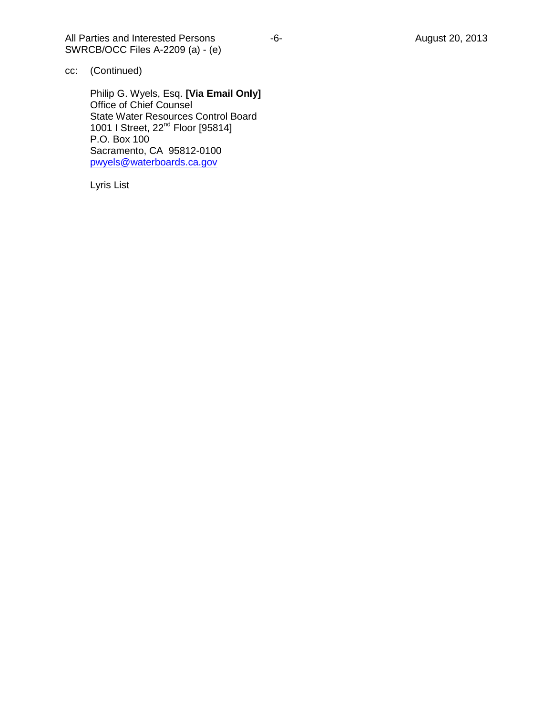All Parties and Interested Persons -6- Formulation of the August 20, 2013 SWRCB/OCC Files A-2209 (a) - (e)

cc: (Continued)

Philip G. Wyels, Esq. **[Via Email Only]** Office of Chief Counsel State Water Resources Control Board 1001 I Street, 22<sup>nd</sup> Floor [95814] P.O. Box 100 Sacramento, CA 95812-0100 [pwyels@waterboards.ca.gov](mailto:pwyels@waterboards.ca.gov)

Lyris List